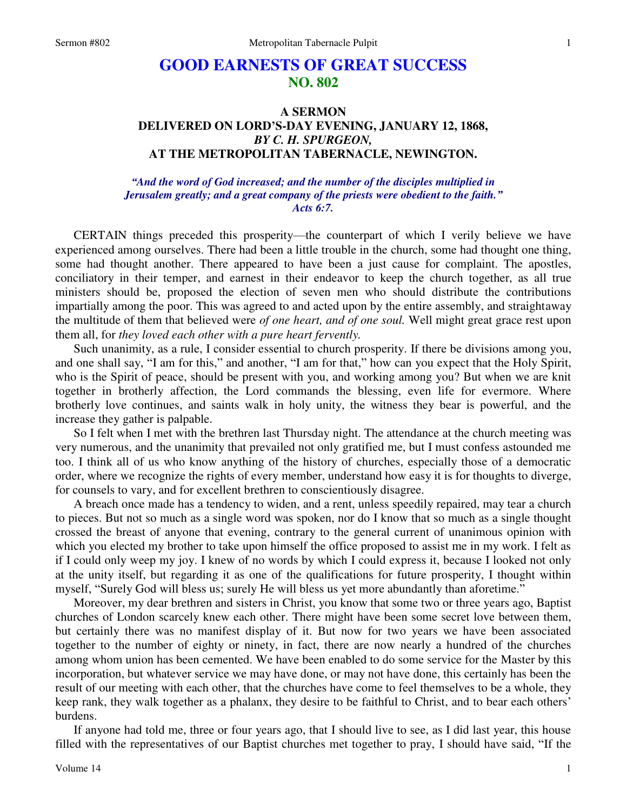# **GOOD EARNESTS OF GREAT SUCCESS NO. 802**

# **A SERMON DELIVERED ON LORD'S-DAY EVENING, JANUARY 12, 1868,**  *BY C. H. SPURGEON,*  **AT THE METROPOLITAN TABERNACLE, NEWINGTON.**

### *"And the word of God increased; and the number of the disciples multiplied in Jerusalem greatly; and a great company of the priests were obedient to the faith." Acts 6:7.*

 CERTAIN things preceded this prosperity—the counterpart of which I verily believe we have experienced among ourselves. There had been a little trouble in the church, some had thought one thing, some had thought another. There appeared to have been a just cause for complaint. The apostles, conciliatory in their temper, and earnest in their endeavor to keep the church together, as all true ministers should be, proposed the election of seven men who should distribute the contributions impartially among the poor. This was agreed to and acted upon by the entire assembly, and straightaway the multitude of them that believed were *of one heart, and of one soul.* Well might great grace rest upon them all, for *they loved each other with a pure heart fervently.*

 Such unanimity, as a rule, I consider essential to church prosperity. If there be divisions among you, and one shall say, "I am for this," and another, "I am for that," how can you expect that the Holy Spirit, who is the Spirit of peace, should be present with you, and working among you? But when we are knit together in brotherly affection, the Lord commands the blessing, even life for evermore. Where brotherly love continues, and saints walk in holy unity, the witness they bear is powerful, and the increase they gather is palpable.

 So I felt when I met with the brethren last Thursday night. The attendance at the church meeting was very numerous, and the unanimity that prevailed not only gratified me, but I must confess astounded me too. I think all of us who know anything of the history of churches, especially those of a democratic order, where we recognize the rights of every member, understand how easy it is for thoughts to diverge, for counsels to vary, and for excellent brethren to conscientiously disagree.

 A breach once made has a tendency to widen, and a rent, unless speedily repaired, may tear a church to pieces. But not so much as a single word was spoken, nor do I know that so much as a single thought crossed the breast of anyone that evening, contrary to the general current of unanimous opinion with which you elected my brother to take upon himself the office proposed to assist me in my work. I felt as if I could only weep my joy. I knew of no words by which I could express it, because I looked not only at the unity itself, but regarding it as one of the qualifications for future prosperity, I thought within myself, "Surely God will bless us; surely He will bless us yet more abundantly than aforetime."

 Moreover, my dear brethren and sisters in Christ, you know that some two or three years ago, Baptist churches of London scarcely knew each other. There might have been some secret love between them, but certainly there was no manifest display of it. But now for two years we have been associated together to the number of eighty or ninety, in fact, there are now nearly a hundred of the churches among whom union has been cemented. We have been enabled to do some service for the Master by this incorporation, but whatever service we may have done, or may not have done, this certainly has been the result of our meeting with each other, that the churches have come to feel themselves to be a whole, they keep rank, they walk together as a phalanx, they desire to be faithful to Christ, and to bear each others' burdens.

 If anyone had told me, three or four years ago, that I should live to see, as I did last year, this house filled with the representatives of our Baptist churches met together to pray, I should have said, "If the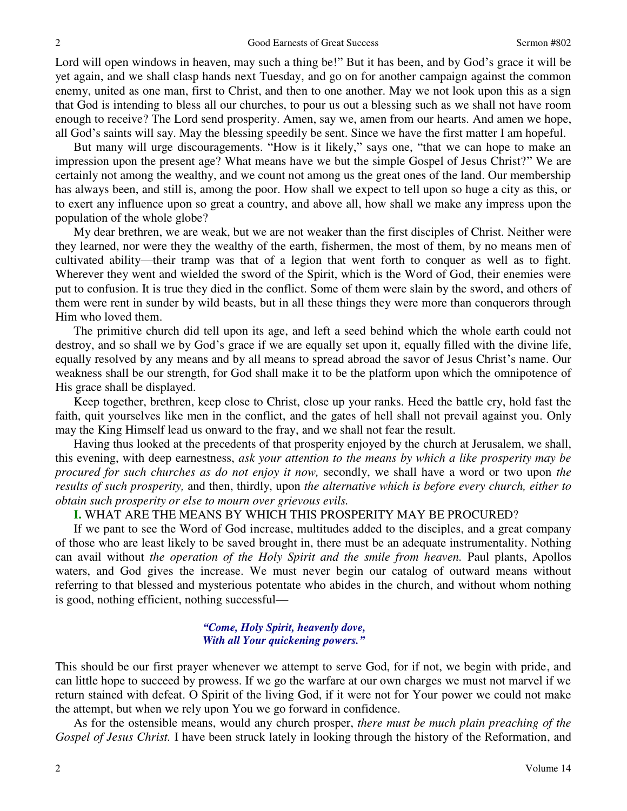Lord will open windows in heaven, may such a thing be!" But it has been, and by God's grace it will be yet again, and we shall clasp hands next Tuesday, and go on for another campaign against the common enemy, united as one man, first to Christ, and then to one another. May we not look upon this as a sign that God is intending to bless all our churches, to pour us out a blessing such as we shall not have room enough to receive? The Lord send prosperity. Amen, say we, amen from our hearts. And amen we hope, all God's saints will say. May the blessing speedily be sent. Since we have the first matter I am hopeful.

But many will urge discouragements. "How is it likely," says one, "that we can hope to make an impression upon the present age? What means have we but the simple Gospel of Jesus Christ?" We are certainly not among the wealthy, and we count not among us the great ones of the land. Our membership has always been, and still is, among the poor. How shall we expect to tell upon so huge a city as this, or to exert any influence upon so great a country, and above all, how shall we make any impress upon the population of the whole globe?

 My dear brethren, we are weak, but we are not weaker than the first disciples of Christ. Neither were they learned, nor were they the wealthy of the earth, fishermen, the most of them, by no means men of cultivated ability—their tramp was that of a legion that went forth to conquer as well as to fight. Wherever they went and wielded the sword of the Spirit, which is the Word of God, their enemies were put to confusion. It is true they died in the conflict. Some of them were slain by the sword, and others of them were rent in sunder by wild beasts, but in all these things they were more than conquerors through Him who loved them.

 The primitive church did tell upon its age, and left a seed behind which the whole earth could not destroy, and so shall we by God's grace if we are equally set upon it, equally filled with the divine life, equally resolved by any means and by all means to spread abroad the savor of Jesus Christ's name. Our weakness shall be our strength, for God shall make it to be the platform upon which the omnipotence of His grace shall be displayed.

 Keep together, brethren, keep close to Christ, close up your ranks. Heed the battle cry, hold fast the faith, quit yourselves like men in the conflict, and the gates of hell shall not prevail against you. Only may the King Himself lead us onward to the fray, and we shall not fear the result.

 Having thus looked at the precedents of that prosperity enjoyed by the church at Jerusalem, we shall, this evening, with deep earnestness, *ask your attention to the means by which a like prosperity may be procured for such churches as do not enjoy it now,* secondly, we shall have a word or two upon *the results of such prosperity,* and then, thirdly, upon *the alternative which is before every church, either to obtain such prosperity or else to mourn over grievous evils.* 

#### **I.** WHAT ARE THE MEANS BY WHICH THIS PROSPERITY MAY BE PROCURED?

 If we pant to see the Word of God increase, multitudes added to the disciples, and a great company of those who are least likely to be saved brought in, there must be an adequate instrumentality. Nothing can avail without *the operation of the Holy Spirit and the smile from heaven.* Paul plants, Apollos waters, and God gives the increase. We must never begin our catalog of outward means without referring to that blessed and mysterious potentate who abides in the church, and without whom nothing is good, nothing efficient, nothing successful—

#### *"Come, Holy Spirit, heavenly dove, With all Your quickening powers."*

This should be our first prayer whenever we attempt to serve God, for if not, we begin with pride, and can little hope to succeed by prowess. If we go the warfare at our own charges we must not marvel if we return stained with defeat. O Spirit of the living God, if it were not for Your power we could not make the attempt, but when we rely upon You we go forward in confidence.

 As for the ostensible means, would any church prosper, *there must be much plain preaching of the Gospel of Jesus Christ.* I have been struck lately in looking through the history of the Reformation, and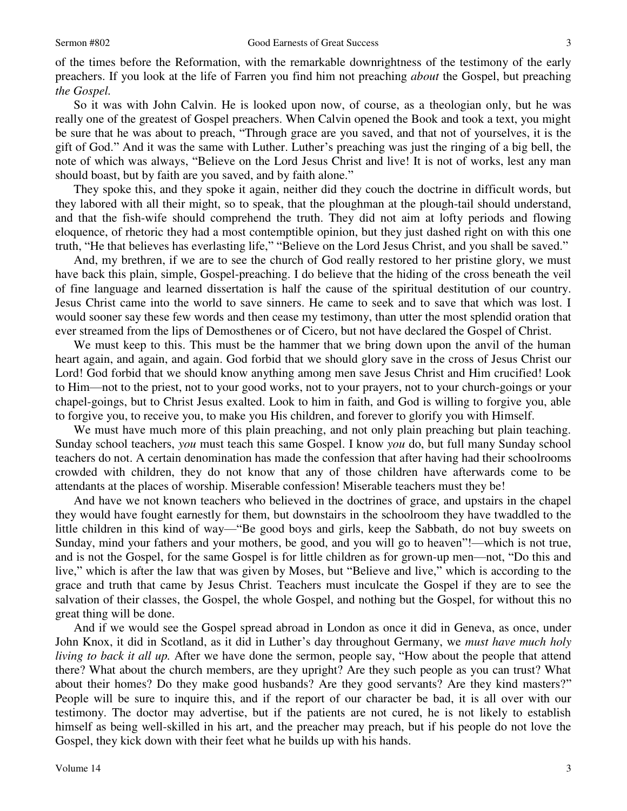of the times before the Reformation, with the remarkable downrightness of the testimony of the early preachers. If you look at the life of Farren you find him not preaching *about* the Gospel, but preaching *the Gospel.*

 So it was with John Calvin. He is looked upon now, of course, as a theologian only, but he was really one of the greatest of Gospel preachers. When Calvin opened the Book and took a text, you might be sure that he was about to preach, "Through grace are you saved, and that not of yourselves, it is the gift of God." And it was the same with Luther. Luther's preaching was just the ringing of a big bell, the note of which was always, "Believe on the Lord Jesus Christ and live! It is not of works, lest any man should boast, but by faith are you saved, and by faith alone."

They spoke this, and they spoke it again, neither did they couch the doctrine in difficult words, but they labored with all their might, so to speak, that the ploughman at the plough-tail should understand, and that the fish-wife should comprehend the truth. They did not aim at lofty periods and flowing eloquence, of rhetoric they had a most contemptible opinion, but they just dashed right on with this one truth, "He that believes has everlasting life," "Believe on the Lord Jesus Christ, and you shall be saved."

 And, my brethren, if we are to see the church of God really restored to her pristine glory, we must have back this plain, simple, Gospel-preaching. I do believe that the hiding of the cross beneath the veil of fine language and learned dissertation is half the cause of the spiritual destitution of our country. Jesus Christ came into the world to save sinners. He came to seek and to save that which was lost. I would sooner say these few words and then cease my testimony, than utter the most splendid oration that ever streamed from the lips of Demosthenes or of Cicero, but not have declared the Gospel of Christ.

We must keep to this. This must be the hammer that we bring down upon the anvil of the human heart again, and again, and again. God forbid that we should glory save in the cross of Jesus Christ our Lord! God forbid that we should know anything among men save Jesus Christ and Him crucified! Look to Him—not to the priest, not to your good works, not to your prayers, not to your church-goings or your chapel-goings, but to Christ Jesus exalted. Look to him in faith, and God is willing to forgive you, able to forgive you, to receive you, to make you His children, and forever to glorify you with Himself.

We must have much more of this plain preaching, and not only plain preaching but plain teaching. Sunday school teachers, *you* must teach this same Gospel. I know *you* do, but full many Sunday school teachers do not. A certain denomination has made the confession that after having had their schoolrooms crowded with children, they do not know that any of those children have afterwards come to be attendants at the places of worship. Miserable confession! Miserable teachers must they be!

 And have we not known teachers who believed in the doctrines of grace, and upstairs in the chapel they would have fought earnestly for them, but downstairs in the schoolroom they have twaddled to the little children in this kind of way—"Be good boys and girls, keep the Sabbath, do not buy sweets on Sunday, mind your fathers and your mothers, be good, and you will go to heaven"!—which is not true, and is not the Gospel, for the same Gospel is for little children as for grown-up men—not, "Do this and live," which is after the law that was given by Moses, but "Believe and live," which is according to the grace and truth that came by Jesus Christ. Teachers must inculcate the Gospel if they are to see the salvation of their classes, the Gospel, the whole Gospel, and nothing but the Gospel, for without this no great thing will be done.

 And if we would see the Gospel spread abroad in London as once it did in Geneva, as once, under John Knox, it did in Scotland, as it did in Luther's day throughout Germany, we *must have much holy living to back it all up.* After we have done the sermon, people say, "How about the people that attend there? What about the church members, are they upright? Are they such people as you can trust? What about their homes? Do they make good husbands? Are they good servants? Are they kind masters?" People will be sure to inquire this, and if the report of our character be bad, it is all over with our testimony. The doctor may advertise, but if the patients are not cured, he is not likely to establish himself as being well-skilled in his art, and the preacher may preach, but if his people do not love the Gospel, they kick down with their feet what he builds up with his hands.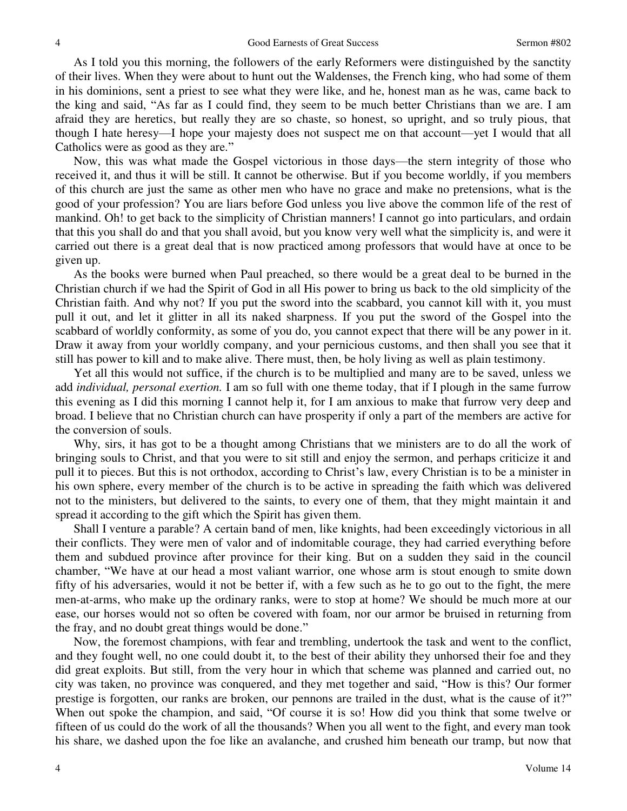As I told you this morning, the followers of the early Reformers were distinguished by the sanctity of their lives. When they were about to hunt out the Waldenses, the French king, who had some of them in his dominions, sent a priest to see what they were like, and he, honest man as he was, came back to the king and said, "As far as I could find, they seem to be much better Christians than we are. I am afraid they are heretics, but really they are so chaste, so honest, so upright, and so truly pious, that though I hate heresy—I hope your majesty does not suspect me on that account—yet I would that all Catholics were as good as they are."

 Now, this was what made the Gospel victorious in those days—the stern integrity of those who received it, and thus it will be still. It cannot be otherwise. But if you become worldly, if you members of this church are just the same as other men who have no grace and make no pretensions, what is the good of your profession? You are liars before God unless you live above the common life of the rest of mankind. Oh! to get back to the simplicity of Christian manners! I cannot go into particulars, and ordain that this you shall do and that you shall avoid, but you know very well what the simplicity is, and were it carried out there is a great deal that is now practiced among professors that would have at once to be given up.

 As the books were burned when Paul preached, so there would be a great deal to be burned in the Christian church if we had the Spirit of God in all His power to bring us back to the old simplicity of the Christian faith. And why not? If you put the sword into the scabbard, you cannot kill with it, you must pull it out, and let it glitter in all its naked sharpness. If you put the sword of the Gospel into the scabbard of worldly conformity, as some of you do, you cannot expect that there will be any power in it. Draw it away from your worldly company, and your pernicious customs, and then shall you see that it still has power to kill and to make alive. There must, then, be holy living as well as plain testimony.

 Yet all this would not suffice, if the church is to be multiplied and many are to be saved, unless we add *individual, personal exertion.* I am so full with one theme today, that if I plough in the same furrow this evening as I did this morning I cannot help it, for I am anxious to make that furrow very deep and broad. I believe that no Christian church can have prosperity if only a part of the members are active for the conversion of souls.

 Why, sirs, it has got to be a thought among Christians that we ministers are to do all the work of bringing souls to Christ, and that you were to sit still and enjoy the sermon, and perhaps criticize it and pull it to pieces. But this is not orthodox, according to Christ's law, every Christian is to be a minister in his own sphere, every member of the church is to be active in spreading the faith which was delivered not to the ministers, but delivered to the saints, to every one of them, that they might maintain it and spread it according to the gift which the Spirit has given them.

 Shall I venture a parable? A certain band of men, like knights, had been exceedingly victorious in all their conflicts. They were men of valor and of indomitable courage, they had carried everything before them and subdued province after province for their king. But on a sudden they said in the council chamber, "We have at our head a most valiant warrior, one whose arm is stout enough to smite down fifty of his adversaries, would it not be better if, with a few such as he to go out to the fight, the mere men-at-arms, who make up the ordinary ranks, were to stop at home? We should be much more at our ease, our horses would not so often be covered with foam, nor our armor be bruised in returning from the fray, and no doubt great things would be done."

 Now, the foremost champions, with fear and trembling, undertook the task and went to the conflict, and they fought well, no one could doubt it, to the best of their ability they unhorsed their foe and they did great exploits. But still, from the very hour in which that scheme was planned and carried out, no city was taken, no province was conquered, and they met together and said, "How is this? Our former prestige is forgotten, our ranks are broken, our pennons are trailed in the dust, what is the cause of it?" When out spoke the champion, and said, "Of course it is so! How did you think that some twelve or fifteen of us could do the work of all the thousands? When you all went to the fight, and every man took his share, we dashed upon the foe like an avalanche, and crushed him beneath our tramp, but now that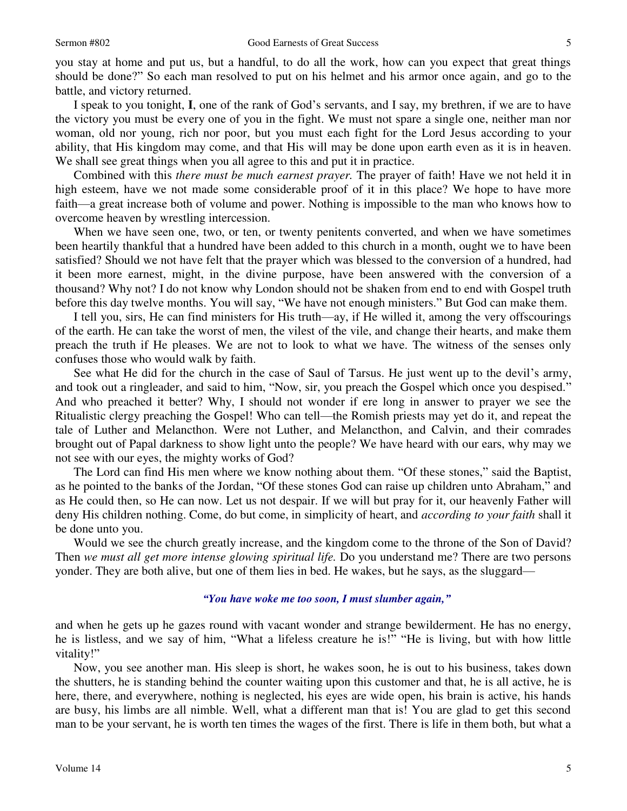you stay at home and put us, but a handful, to do all the work, how can you expect that great things should be done?" So each man resolved to put on his helmet and his armor once again, and go to the battle, and victory returned.

 I speak to you tonight, **I**, one of the rank of God's servants, and I say, my brethren, if we are to have the victory you must be every one of you in the fight. We must not spare a single one, neither man nor woman, old nor young, rich nor poor, but you must each fight for the Lord Jesus according to your ability, that His kingdom may come, and that His will may be done upon earth even as it is in heaven. We shall see great things when you all agree to this and put it in practice.

Combined with this *there must be much earnest prayer.* The prayer of faith! Have we not held it in high esteem, have we not made some considerable proof of it in this place? We hope to have more faith—a great increase both of volume and power. Nothing is impossible to the man who knows how to overcome heaven by wrestling intercession.

 When we have seen one, two, or ten, or twenty penitents converted, and when we have sometimes been heartily thankful that a hundred have been added to this church in a month, ought we to have been satisfied? Should we not have felt that the prayer which was blessed to the conversion of a hundred, had it been more earnest, might, in the divine purpose, have been answered with the conversion of a thousand? Why not? I do not know why London should not be shaken from end to end with Gospel truth before this day twelve months. You will say, "We have not enough ministers." But God can make them.

 I tell you, sirs, He can find ministers for His truth—ay, if He willed it, among the very offscourings of the earth. He can take the worst of men, the vilest of the vile, and change their hearts, and make them preach the truth if He pleases. We are not to look to what we have. The witness of the senses only confuses those who would walk by faith.

 See what He did for the church in the case of Saul of Tarsus. He just went up to the devil's army, and took out a ringleader, and said to him, "Now, sir, you preach the Gospel which once you despised." And who preached it better? Why, I should not wonder if ere long in answer to prayer we see the Ritualistic clergy preaching the Gospel! Who can tell—the Romish priests may yet do it, and repeat the tale of Luther and Melancthon. Were not Luther, and Melancthon, and Calvin, and their comrades brought out of Papal darkness to show light unto the people? We have heard with our ears, why may we not see with our eyes, the mighty works of God?

 The Lord can find His men where we know nothing about them. "Of these stones," said the Baptist, as he pointed to the banks of the Jordan, "Of these stones God can raise up children unto Abraham," and as He could then, so He can now. Let us not despair. If we will but pray for it, our heavenly Father will deny His children nothing. Come, do but come, in simplicity of heart, and *according to your faith* shall it be done unto you.

Would we see the church greatly increase, and the kingdom come to the throne of the Son of David? Then *we must all get more intense glowing spiritual life.* Do you understand me? There are two persons yonder. They are both alive, but one of them lies in bed. He wakes, but he says, as the sluggard—

## *"You have woke me too soon, I must slumber again,"*

and when he gets up he gazes round with vacant wonder and strange bewilderment. He has no energy, he is listless, and we say of him, "What a lifeless creature he is!" "He is living, but with how little vitality!"

 Now, you see another man. His sleep is short, he wakes soon, he is out to his business, takes down the shutters, he is standing behind the counter waiting upon this customer and that, he is all active, he is here, there, and everywhere, nothing is neglected, his eyes are wide open, his brain is active, his hands are busy, his limbs are all nimble. Well, what a different man that is! You are glad to get this second man to be your servant, he is worth ten times the wages of the first. There is life in them both, but what a

5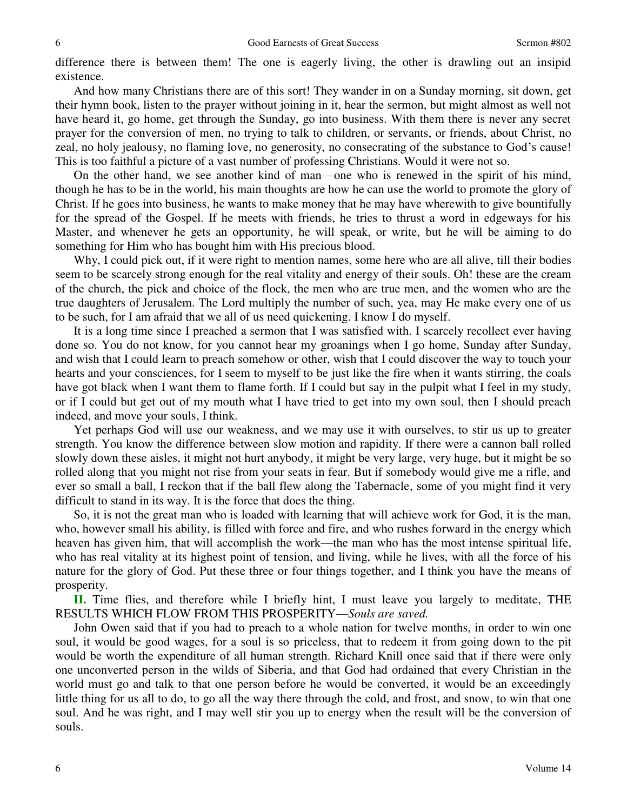difference there is between them! The one is eagerly living, the other is drawling out an insipid existence.

 And how many Christians there are of this sort! They wander in on a Sunday morning, sit down, get their hymn book, listen to the prayer without joining in it, hear the sermon, but might almost as well not have heard it, go home, get through the Sunday, go into business. With them there is never any secret prayer for the conversion of men, no trying to talk to children, or servants, or friends, about Christ, no zeal, no holy jealousy, no flaming love, no generosity, no consecrating of the substance to God's cause! This is too faithful a picture of a vast number of professing Christians. Would it were not so.

 On the other hand, we see another kind of man—one who is renewed in the spirit of his mind, though he has to be in the world, his main thoughts are how he can use the world to promote the glory of Christ. If he goes into business, he wants to make money that he may have wherewith to give bountifully for the spread of the Gospel. If he meets with friends, he tries to thrust a word in edgeways for his Master, and whenever he gets an opportunity, he will speak, or write, but he will be aiming to do something for Him who has bought him with His precious blood.

 Why, I could pick out, if it were right to mention names, some here who are all alive, till their bodies seem to be scarcely strong enough for the real vitality and energy of their souls. Oh! these are the cream of the church, the pick and choice of the flock, the men who are true men, and the women who are the true daughters of Jerusalem. The Lord multiply the number of such, yea, may He make every one of us to be such, for I am afraid that we all of us need quickening. I know I do myself.

It is a long time since I preached a sermon that I was satisfied with. I scarcely recollect ever having done so. You do not know, for you cannot hear my groanings when I go home, Sunday after Sunday, and wish that I could learn to preach somehow or other, wish that I could discover the way to touch your hearts and your consciences, for I seem to myself to be just like the fire when it wants stirring, the coals have got black when I want them to flame forth. If I could but say in the pulpit what I feel in my study, or if I could but get out of my mouth what I have tried to get into my own soul, then I should preach indeed, and move your souls, I think.

 Yet perhaps God will use our weakness, and we may use it with ourselves, to stir us up to greater strength. You know the difference between slow motion and rapidity. If there were a cannon ball rolled slowly down these aisles, it might not hurt anybody, it might be very large, very huge, but it might be so rolled along that you might not rise from your seats in fear. But if somebody would give me a rifle, and ever so small a ball, I reckon that if the ball flew along the Tabernacle, some of you might find it very difficult to stand in its way. It is the force that does the thing.

So, it is not the great man who is loaded with learning that will achieve work for God, it is the man, who, however small his ability, is filled with force and fire, and who rushes forward in the energy which heaven has given him, that will accomplish the work—the man who has the most intense spiritual life, who has real vitality at its highest point of tension, and living, while he lives, with all the force of his nature for the glory of God. Put these three or four things together, and I think you have the means of prosperity.

**II.** Time flies, and therefore while I briefly hint, I must leave you largely to meditate, THE RESULTS WHICH FLOW FROM THIS PROSPERITY—*Souls are saved.*

 John Owen said that if you had to preach to a whole nation for twelve months, in order to win one soul, it would be good wages, for a soul is so priceless, that to redeem it from going down to the pit would be worth the expenditure of all human strength. Richard Knill once said that if there were only one unconverted person in the wilds of Siberia, and that God had ordained that every Christian in the world must go and talk to that one person before he would be converted, it would be an exceedingly little thing for us all to do, to go all the way there through the cold, and frost, and snow, to win that one soul. And he was right, and I may well stir you up to energy when the result will be the conversion of souls.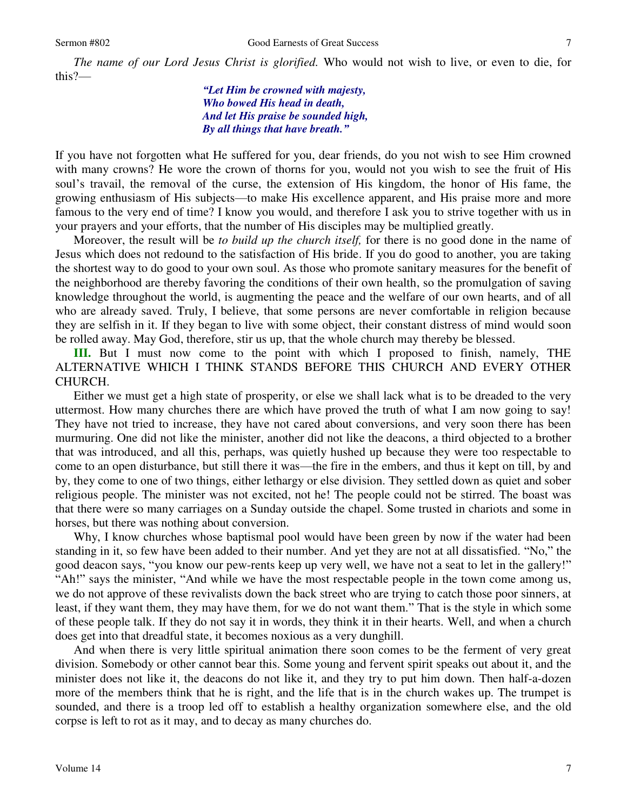*The name of our Lord Jesus Christ is glorified.* Who would not wish to live, or even to die, for this?—

> *"Let Him be crowned with majesty, Who bowed His head in death, And let His praise be sounded high, By all things that have breath."*

If you have not forgotten what He suffered for you, dear friends, do you not wish to see Him crowned with many crowns? He wore the crown of thorns for you, would not you wish to see the fruit of His soul's travail, the removal of the curse, the extension of His kingdom, the honor of His fame, the growing enthusiasm of His subjects—to make His excellence apparent, and His praise more and more famous to the very end of time? I know you would, and therefore I ask you to strive together with us in your prayers and your efforts, that the number of His disciples may be multiplied greatly.

 Moreover, the result will be *to build up the church itself,* for there is no good done in the name of Jesus which does not redound to the satisfaction of His bride. If you do good to another, you are taking the shortest way to do good to your own soul. As those who promote sanitary measures for the benefit of the neighborhood are thereby favoring the conditions of their own health, so the promulgation of saving knowledge throughout the world, is augmenting the peace and the welfare of our own hearts, and of all who are already saved. Truly, I believe, that some persons are never comfortable in religion because they are selfish in it. If they began to live with some object, their constant distress of mind would soon be rolled away. May God, therefore, stir us up, that the whole church may thereby be blessed.

**III.** But I must now come to the point with which I proposed to finish, namely, THE ALTERNATIVE WHICH I THINK STANDS BEFORE THIS CHURCH AND EVERY OTHER CHURCH.

 Either we must get a high state of prosperity, or else we shall lack what is to be dreaded to the very uttermost. How many churches there are which have proved the truth of what I am now going to say! They have not tried to increase, they have not cared about conversions, and very soon there has been murmuring. One did not like the minister, another did not like the deacons, a third objected to a brother that was introduced, and all this, perhaps, was quietly hushed up because they were too respectable to come to an open disturbance, but still there it was—the fire in the embers, and thus it kept on till, by and by, they come to one of two things, either lethargy or else division. They settled down as quiet and sober religious people. The minister was not excited, not he! The people could not be stirred. The boast was that there were so many carriages on a Sunday outside the chapel. Some trusted in chariots and some in horses, but there was nothing about conversion.

Why, I know churches whose baptismal pool would have been green by now if the water had been standing in it, so few have been added to their number. And yet they are not at all dissatisfied. "No," the good deacon says, "you know our pew-rents keep up very well, we have not a seat to let in the gallery!" "Ah!" says the minister, "And while we have the most respectable people in the town come among us, we do not approve of these revivalists down the back street who are trying to catch those poor sinners, at least, if they want them, they may have them, for we do not want them." That is the style in which some of these people talk. If they do not say it in words, they think it in their hearts. Well, and when a church does get into that dreadful state, it becomes noxious as a very dunghill.

 And when there is very little spiritual animation there soon comes to be the ferment of very great division. Somebody or other cannot bear this. Some young and fervent spirit speaks out about it, and the minister does not like it, the deacons do not like it, and they try to put him down. Then half-a-dozen more of the members think that he is right, and the life that is in the church wakes up. The trumpet is sounded, and there is a troop led off to establish a healthy organization somewhere else, and the old corpse is left to rot as it may, and to decay as many churches do.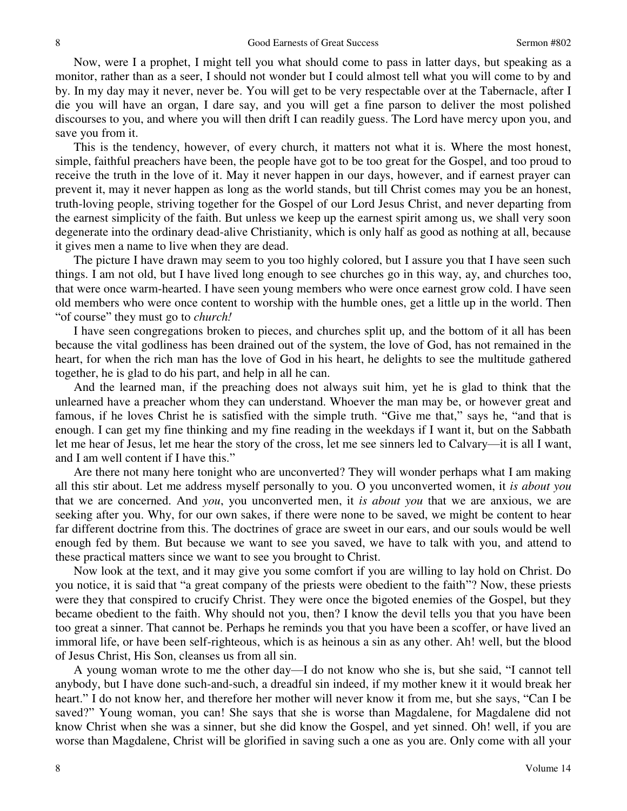Now, were I a prophet, I might tell you what should come to pass in latter days, but speaking as a monitor, rather than as a seer, I should not wonder but I could almost tell what you will come to by and by. In my day may it never, never be. You will get to be very respectable over at the Tabernacle, after I die you will have an organ, I dare say, and you will get a fine parson to deliver the most polished discourses to you, and where you will then drift I can readily guess. The Lord have mercy upon you, and save you from it.

 This is the tendency, however, of every church, it matters not what it is. Where the most honest, simple, faithful preachers have been, the people have got to be too great for the Gospel, and too proud to receive the truth in the love of it. May it never happen in our days, however, and if earnest prayer can prevent it, may it never happen as long as the world stands, but till Christ comes may you be an honest, truth-loving people, striving together for the Gospel of our Lord Jesus Christ, and never departing from the earnest simplicity of the faith. But unless we keep up the earnest spirit among us, we shall very soon degenerate into the ordinary dead-alive Christianity, which is only half as good as nothing at all, because it gives men a name to live when they are dead.

 The picture I have drawn may seem to you too highly colored, but I assure you that I have seen such things. I am not old, but I have lived long enough to see churches go in this way, ay, and churches too, that were once warm-hearted. I have seen young members who were once earnest grow cold. I have seen old members who were once content to worship with the humble ones, get a little up in the world. Then "of course" they must go to *church!*

 I have seen congregations broken to pieces, and churches split up, and the bottom of it all has been because the vital godliness has been drained out of the system, the love of God, has not remained in the heart, for when the rich man has the love of God in his heart, he delights to see the multitude gathered together, he is glad to do his part, and help in all he can.

 And the learned man, if the preaching does not always suit him, yet he is glad to think that the unlearned have a preacher whom they can understand. Whoever the man may be, or however great and famous, if he loves Christ he is satisfied with the simple truth. "Give me that," says he, "and that is enough. I can get my fine thinking and my fine reading in the weekdays if I want it, but on the Sabbath let me hear of Jesus, let me hear the story of the cross, let me see sinners led to Calvary—it is all I want, and I am well content if I have this."

 Are there not many here tonight who are unconverted? They will wonder perhaps what I am making all this stir about. Let me address myself personally to you. O you unconverted women, it *is about you* that we are concerned. And *you*, you unconverted men, it *is about you* that we are anxious, we are seeking after you. Why, for our own sakes, if there were none to be saved, we might be content to hear far different doctrine from this. The doctrines of grace are sweet in our ears, and our souls would be well enough fed by them. But because we want to see you saved, we have to talk with you, and attend to these practical matters since we want to see you brought to Christ.

 Now look at the text, and it may give you some comfort if you are willing to lay hold on Christ. Do you notice, it is said that "a great company of the priests were obedient to the faith"? Now, these priests were they that conspired to crucify Christ. They were once the bigoted enemies of the Gospel, but they became obedient to the faith. Why should not you, then? I know the devil tells you that you have been too great a sinner. That cannot be. Perhaps he reminds you that you have been a scoffer, or have lived an immoral life, or have been self-righteous, which is as heinous a sin as any other. Ah! well, but the blood of Jesus Christ, His Son, cleanses us from all sin.

 A young woman wrote to me the other day—I do not know who she is, but she said, "I cannot tell anybody, but I have done such-and-such, a dreadful sin indeed, if my mother knew it it would break her heart." I do not know her, and therefore her mother will never know it from me, but she says, "Can I be saved?" Young woman, you can! She says that she is worse than Magdalene, for Magdalene did not know Christ when she was a sinner, but she did know the Gospel, and yet sinned. Oh! well, if you are worse than Magdalene, Christ will be glorified in saving such a one as you are. Only come with all your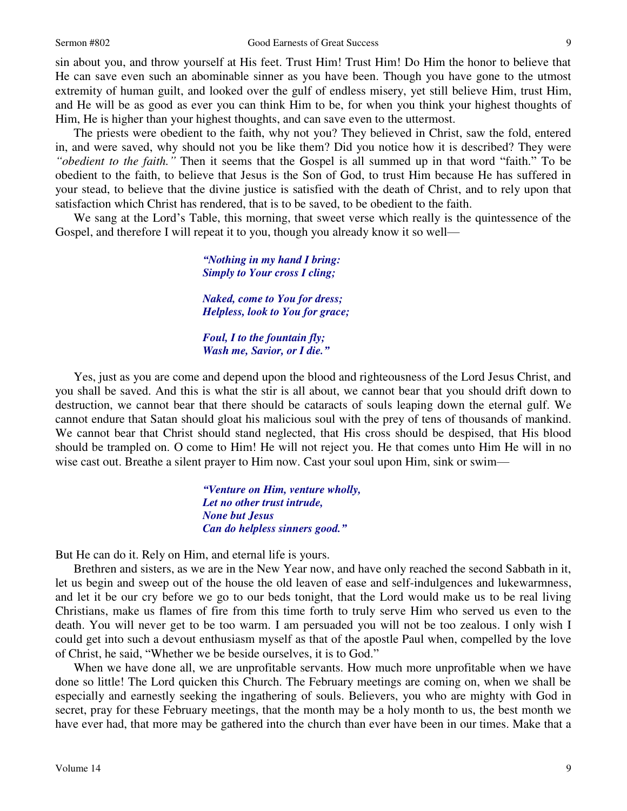sin about you, and throw yourself at His feet. Trust Him! Trust Him! Do Him the honor to believe that He can save even such an abominable sinner as you have been. Though you have gone to the utmost extremity of human guilt, and looked over the gulf of endless misery, yet still believe Him, trust Him, and He will be as good as ever you can think Him to be, for when you think your highest thoughts of Him, He is higher than your highest thoughts, and can save even to the uttermost.

 The priests were obedient to the faith, why not you? They believed in Christ, saw the fold, entered in, and were saved, why should not you be like them? Did you notice how it is described? They were *"obedient to the faith."* Then it seems that the Gospel is all summed up in that word "faith." To be obedient to the faith, to believe that Jesus is the Son of God, to trust Him because He has suffered in your stead, to believe that the divine justice is satisfied with the death of Christ, and to rely upon that satisfaction which Christ has rendered, that is to be saved, to be obedient to the faith.

 We sang at the Lord's Table, this morning, that sweet verse which really is the quintessence of the Gospel, and therefore I will repeat it to you, though you already know it so well—

> *"Nothing in my hand I bring: Simply to Your cross I cling; Naked, come to You for dress; Helpless, look to You for grace; Foul, I to the fountain fly; Wash me, Savior, or I die."*

 Yes, just as you are come and depend upon the blood and righteousness of the Lord Jesus Christ, and you shall be saved. And this is what the stir is all about, we cannot bear that you should drift down to destruction, we cannot bear that there should be cataracts of souls leaping down the eternal gulf. We cannot endure that Satan should gloat his malicious soul with the prey of tens of thousands of mankind. We cannot bear that Christ should stand neglected, that His cross should be despised, that His blood should be trampled on. O come to Him! He will not reject you. He that comes unto Him He will in no wise cast out. Breathe a silent prayer to Him now. Cast your soul upon Him, sink or swim—

> *"Venture on Him, venture wholly, Let no other trust intrude, None but Jesus Can do helpless sinners good."*

But He can do it. Rely on Him, and eternal life is yours.

 Brethren and sisters, as we are in the New Year now, and have only reached the second Sabbath in it, let us begin and sweep out of the house the old leaven of ease and self-indulgences and lukewarmness, and let it be our cry before we go to our beds tonight, that the Lord would make us to be real living Christians, make us flames of fire from this time forth to truly serve Him who served us even to the death. You will never get to be too warm. I am persuaded you will not be too zealous. I only wish I could get into such a devout enthusiasm myself as that of the apostle Paul when, compelled by the love of Christ, he said, "Whether we be beside ourselves, it is to God."

 When we have done all, we are unprofitable servants. How much more unprofitable when we have done so little! The Lord quicken this Church. The February meetings are coming on, when we shall be especially and earnestly seeking the ingathering of souls. Believers, you who are mighty with God in secret, pray for these February meetings, that the month may be a holy month to us, the best month we have ever had, that more may be gathered into the church than ever have been in our times. Make that a

9